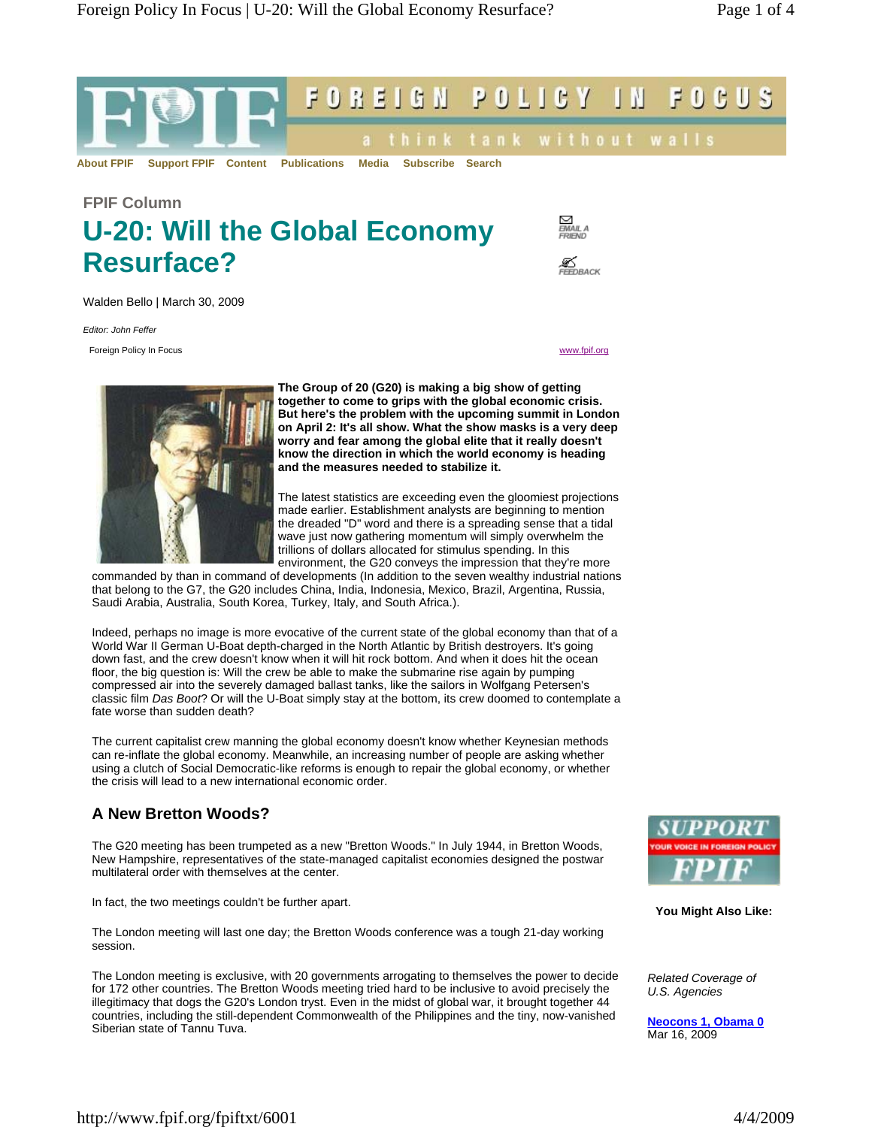

**About FPIF Support FPIF Content Publications Media Subscribe Search**

## **FPIF Column U-20: Will the Global Economy Resurface?**



Walden Bello | March 30, 2009

*Editor: John Feffer* Foreign Policy In Focus www.fpif.org



**The Group of 20 (G20) is making a big show of getting together to come to grips with the global economic crisis. But here's the problem with the upcoming summit in London on April 2: It's all show. What the show masks is a very deep worry and fear among the global elite that it really doesn't know the direction in which the world economy is heading and the measures needed to stabilize it.**

The latest statistics are exceeding even the gloomiest projections made earlier. Establishment analysts are beginning to mention the dreaded "D" word and there is a spreading sense that a tidal wave just now gathering momentum will simply overwhelm the trillions of dollars allocated for stimulus spending. In this environment, the G20 conveys the impression that they're more

commanded by than in command of developments (In addition to the seven wealthy industrial nations that belong to the G7, the G20 includes China, India, Indonesia, Mexico, Brazil, Argentina, Russia, Saudi Arabia, Australia, South Korea, Turkey, Italy, and South Africa.).

Indeed, perhaps no image is more evocative of the current state of the global economy than that of a World War II German U-Boat depth-charged in the North Atlantic by British destroyers. It's going down fast, and the crew doesn't know when it will hit rock bottom. And when it does hit the ocean floor, the big question is: Will the crew be able to make the submarine rise again by pumping compressed air into the severely damaged ballast tanks, like the sailors in Wolfgang Petersen's classic film *Das Boot*? Or will the U-Boat simply stay at the bottom, its crew doomed to contemplate a fate worse than sudden death?

The current capitalist crew manning the global economy doesn't know whether Keynesian methods can re-inflate the global economy. Meanwhile, an increasing number of people are asking whether using a clutch of Social Democratic-like reforms is enough to repair the global economy, or whether the crisis will lead to a new international economic order.

## **A New Bretton Woods?**

The G20 meeting has been trumpeted as a new "Bretton Woods." In July 1944, in Bretton Woods, New Hampshire, representatives of the state-managed capitalist economies designed the postwar multilateral order with themselves at the center.

In fact, the two meetings couldn't be further apart.

The London meeting will last one day; the Bretton Woods conference was a tough 21-day working session.

The London meeting is exclusive, with 20 governments arrogating to themselves the power to decide for 172 other countries. The Bretton Woods meeting tried hard to be inclusive to avoid precisely the illegitimacy that dogs the G20's London tryst. Even in the midst of global war, it brought together 44 countries, including the still-dependent Commonwealth of the Philippines and the tiny, now-vanished Siberian state of Tannu Tuva.



**You Might Also Like:**

*Related Coverage of U.S. Agencies*

**Neocons 1, Obama 0** Mar 16, 2009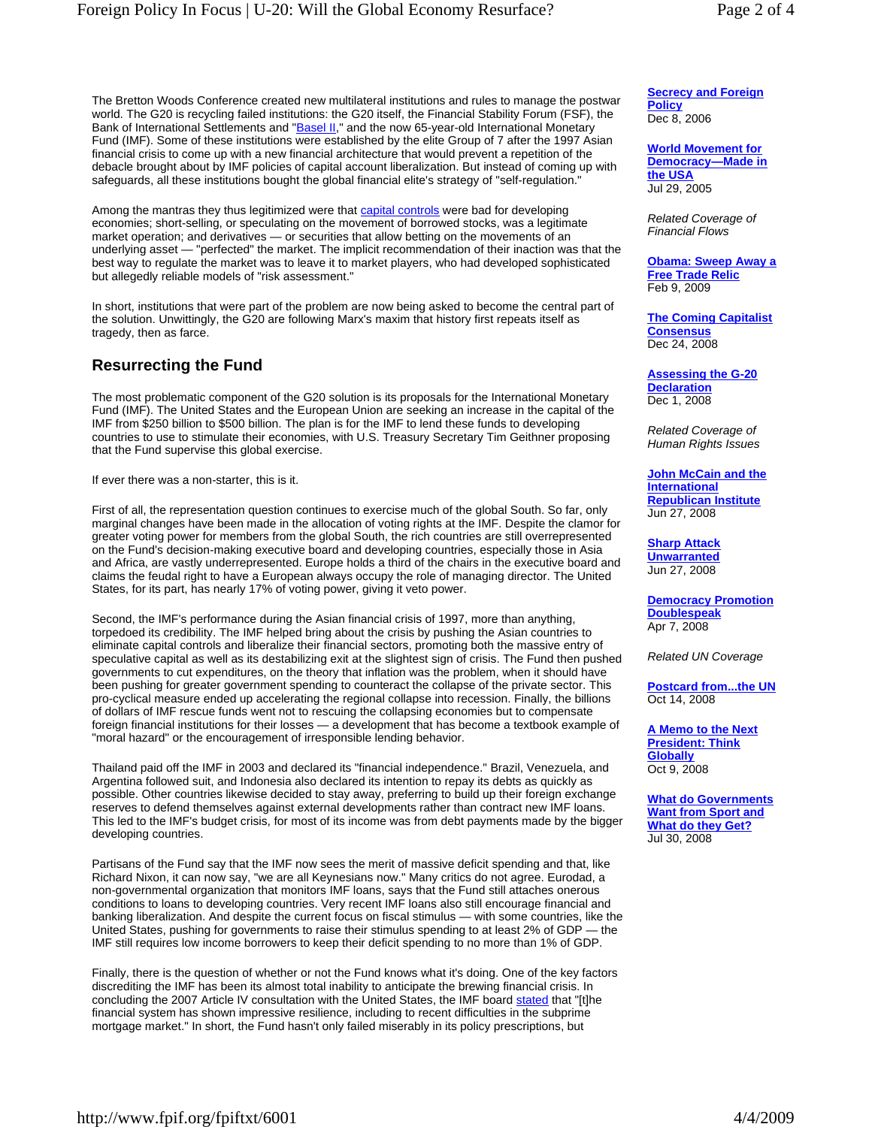The Bretton Woods Conference created new multilateral institutions and rules to manage the postwar world. The G20 is recycling failed institutions: the G20 itself, the Financial Stability Forum (FSF), the Bank of International Settlements and "Basel II," and the now 65-year-old International Monetary Fund (IMF). Some of these institutions were established by the elite Group of 7 after the 1997 Asian financial crisis to come up with a new financial architecture that would prevent a repetition of the debacle brought about by IMF policies of capital account liberalization. But instead of coming up with safeguards, all these institutions bought the global financial elite's strategy of "self-regulation."

Among the mantras they thus legitimized were that capital controls were bad for developing economies; short-selling, or speculating on the movement of borrowed stocks, was a legitimate market operation; and derivatives — or securities that allow betting on the movements of an underlying asset — "perfected" the market. The implicit recommendation of their inaction was that the best way to regulate the market was to leave it to market players, who had developed sophisticated but allegedly reliable models of "risk assessment."

In short, institutions that were part of the problem are now being asked to become the central part of the solution. Unwittingly, the G20 are following Marx's maxim that history first repeats itself as tragedy, then as farce.

## **Resurrecting the Fund**

The most problematic component of the G20 solution is its proposals for the International Monetary Fund (IMF). The United States and the European Union are seeking an increase in the capital of the IMF from \$250 billion to \$500 billion. The plan is for the IMF to lend these funds to developing countries to use to stimulate their economies, with U.S. Treasury Secretary Tim Geithner proposing that the Fund supervise this global exercise.

If ever there was a non-starter, this is it.

First of all, the representation question continues to exercise much of the global South. So far, only marginal changes have been made in the allocation of voting rights at the IMF. Despite the clamor for greater voting power for members from the global South, the rich countries are still overrepresented on the Fund's decision-making executive board and developing countries, especially those in Asia and Africa, are vastly underrepresented. Europe holds a third of the chairs in the executive board and claims the feudal right to have a European always occupy the role of managing director. The United States, for its part, has nearly 17% of voting power, giving it veto power.

Second, the IMF's performance during the Asian financial crisis of 1997, more than anything, torpedoed its credibility. The IMF helped bring about the crisis by pushing the Asian countries to eliminate capital controls and liberalize their financial sectors, promoting both the massive entry of speculative capital as well as its destabilizing exit at the slightest sign of crisis. The Fund then pushed governments to cut expenditures, on the theory that inflation was the problem, when it should have been pushing for greater government spending to counteract the collapse of the private sector. This pro-cyclical measure ended up accelerating the regional collapse into recession. Finally, the billions of dollars of IMF rescue funds went not to rescuing the collapsing economies but to compensate foreign financial institutions for their losses — a development that has become a textbook example of "moral hazard" or the encouragement of irresponsible lending behavior.

Thailand paid off the IMF in 2003 and declared its "financial independence." Brazil, Venezuela, and Argentina followed suit, and Indonesia also declared its intention to repay its debts as quickly as possible. Other countries likewise decided to stay away, preferring to build up their foreign exchange reserves to defend themselves against external developments rather than contract new IMF loans. This led to the IMF's budget crisis, for most of its income was from debt payments made by the bigger developing countries.

Partisans of the Fund say that the IMF now sees the merit of massive deficit spending and that, like Richard Nixon, it can now say, "we are all Keynesians now." Many critics do not agree. Eurodad, a non-governmental organization that monitors IMF loans, says that the Fund still attaches onerous conditions to loans to developing countries. Very recent IMF loans also still encourage financial and banking liberalization. And despite the current focus on fiscal stimulus — with some countries, like the United States, pushing for governments to raise their stimulus spending to at least 2% of GDP — the IMF still requires low income borrowers to keep their deficit spending to no more than 1% of GDP.

Finally, there is the question of whether or not the Fund knows what it's doing. One of the key factors discrediting the IMF has been its almost total inability to anticipate the brewing financial crisis. In concluding the 2007 Article IV consultation with the United States, the IMF board stated that "[t]he financial system has shown impressive resilience, including to recent difficulties in the subprime mortgage market." In short, the Fund hasn't only failed miserably in its policy prescriptions, but

**Secrecy and Foreign Policy** Dec 8, 2006

**World Movement for Democracy—Made in the USA** Jul 29, 2005

*Related Coverage of Financial Flows*

**Obama: Sweep Away a Free Trade Relic** Feb 9, 2009

**The Coming Capitalist Consensus** Dec 24, 2008

**Assessing the G-20 Declaration** Dec 1, 2008

*Related Coverage of Human Rights Issues*

**John McCain and the International Republican Institute** Jun 27, 2008

**Sharp Attack Unwarranted** Jun 27, 2008

**Democracy Promotion Doublespeak** Apr 7, 2008

*Related UN Coverage*

**Postcard from...the UN** Oct 14, 2008

**A Memo to the Next President: Think Globally** Oct 9, 2008

**What do Governments Want from Sport and What do they Get?** Jul 30, 2008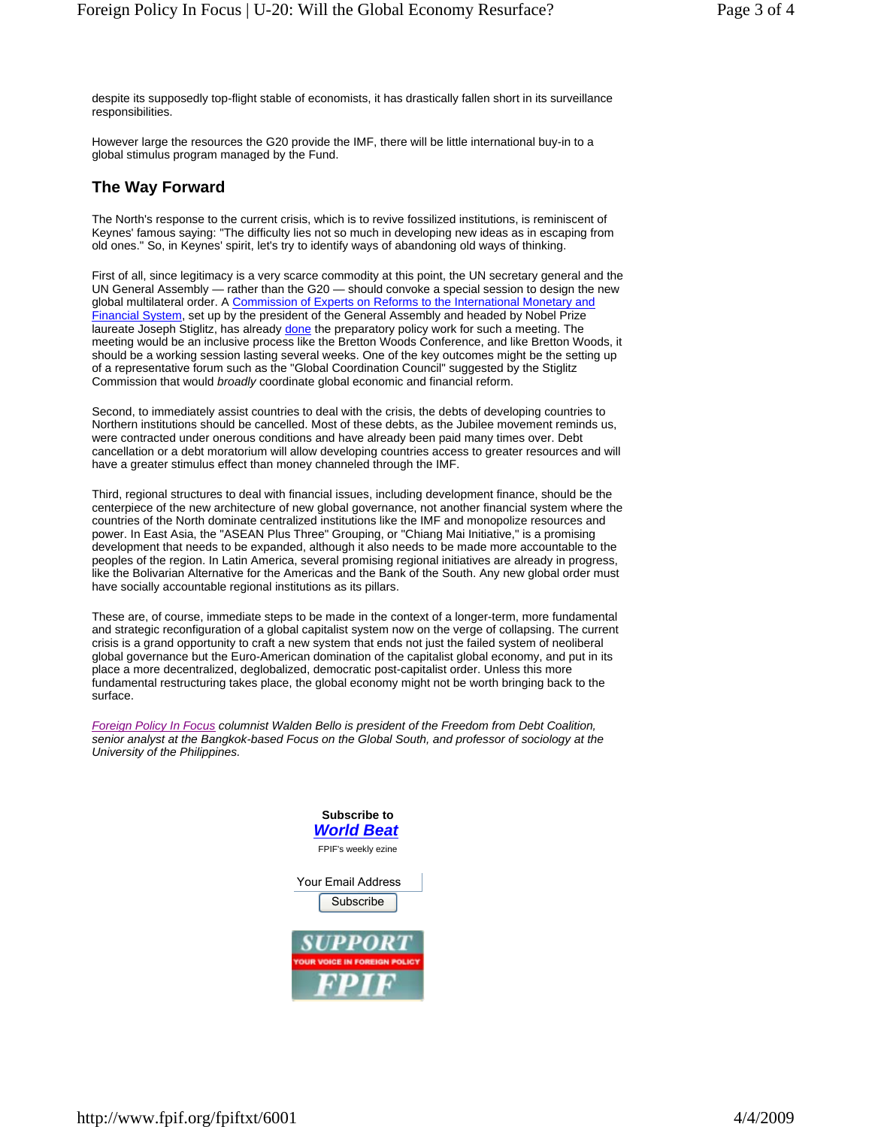despite its supposedly top-flight stable of economists, it has drastically fallen short in its surveillance responsibilities.

However large the resources the G20 provide the IMF, there will be little international buy-in to a global stimulus program managed by the Fund.

## **The Way Forward**

The North's response to the current crisis, which is to revive fossilized institutions, is reminiscent of Keynes' famous saying: "The difficulty lies not so much in developing new ideas as in escaping from old ones." So, in Keynes' spirit, let's try to identify ways of abandoning old ways of thinking.

First of all, since legitimacy is a very scarce commodity at this point, the UN secretary general and the UN General Assembly — rather than the G20 — should convoke a special session to design the new global multilateral order. A Commission of Experts on Reforms to the International Monetary and Financial System, set up by the president of the General Assembly and headed by Nobel Prize laureate Joseph Stiglitz, has already done the preparatory policy work for such a meeting. The meeting would be an inclusive process like the Bretton Woods Conference, and like Bretton Woods, it should be a working session lasting several weeks. One of the key outcomes might be the setting up of a representative forum such as the "Global Coordination Council" suggested by the Stiglitz Commission that would *broadly* coordinate global economic and financial reform.

Second, to immediately assist countries to deal with the crisis, the debts of developing countries to Northern institutions should be cancelled. Most of these debts, as the Jubilee movement reminds us, were contracted under onerous conditions and have already been paid many times over. Debt cancellation or a debt moratorium will allow developing countries access to greater resources and will have a greater stimulus effect than money channeled through the IMF.

Third, regional structures to deal with financial issues, including development finance, should be the centerpiece of the new architecture of new global governance, not another financial system where the countries of the North dominate centralized institutions like the IMF and monopolize resources and power. In East Asia, the "ASEAN Plus Three" Grouping, or "Chiang Mai Initiative," is a promising development that needs to be expanded, although it also needs to be made more accountable to the peoples of the region. In Latin America, several promising regional initiatives are already in progress, like the Bolivarian Alternative for the Americas and the Bank of the South. Any new global order must have socially accountable regional institutions as its pillars.

These are, of course, immediate steps to be made in the context of a longer-term, more fundamental and strategic reconfiguration of a global capitalist system now on the verge of collapsing. The current crisis is a grand opportunity to craft a new system that ends not just the failed system of neoliberal global governance but the Euro-American domination of the capitalist global economy, and put in its place a more decentralized, deglobalized, democratic post-capitalist order. Unless this more fundamental restructuring takes place, the global economy might not be worth bringing back to the surface.

*Foreign Policy In Focus columnist Walden Bello is president of the Freedom from Debt Coalition, senior analyst at the Bangkok-based Focus on the Global South, and professor of sociology at the University of the Philippines.*